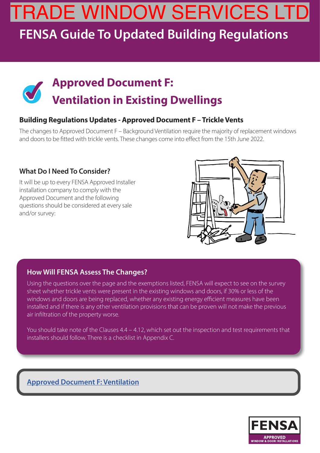# TRADE WINDOW SERVICES LTD

### **FENSA Guide To Updated Building Regulations**

# **Approved Document F:<br>
<b>Ventilation in Existing Dwellings**

### **Building Regulations Updates - Approved Document F – Trickle Vents**

The changes to Approved Document F – Background Ventilation require the majority of replacement windows and doors to be fitted with trickle vents. These changes come into effect from the 15th June 2022.

### **What Do I Need To Consider?**

It will be up to every FENSA Approved Installer installation company to comply with the Approved Document and the following questions should be considered at every sale and/or survey:



#### **How Will FENSA Assess The Changes?**

Using the questions over the page and the exemptions listed, FENSA will expect to see on the survey sheet whether trickle vents were present in the existing windows and doors, if 30% or less of the windows and doors are being replaced, whether any existing energy efficient measures have been installed and if there is any other ventilation provisions that can be proven will not make the previous air infiltration of the property worse.

You should take note of the Clauses  $4.4 - 4.12$ , which set out the inspection and test requirements that installers should follow. There is a checklist in Appendix C.

### **Approved Document F: Ventilation**

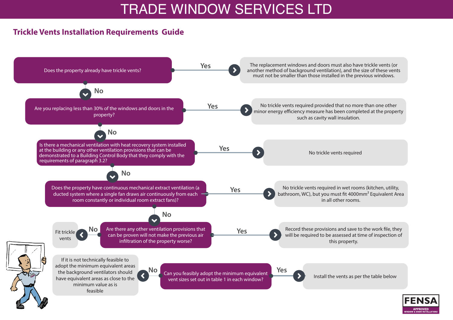

### **Trickle Vents Installation Requirements Guide**

Record these provisions and save to the work file, they will be required to be assessed at time of inspection of this property.

Install the vents as per the table below



## TRADE WINDOW SERVICES LTD